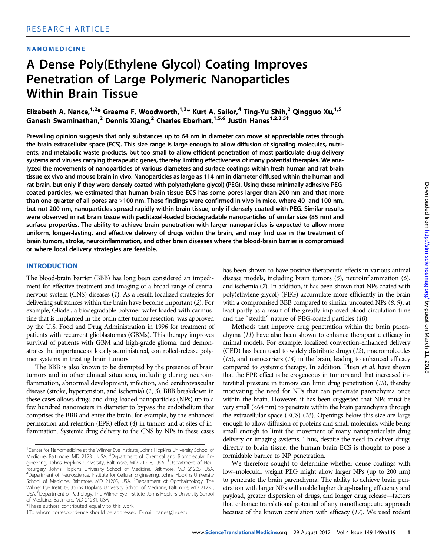#### NANOMEDICINE

## A Dense Poly(Ethylene Glycol) Coating Improves Penetration of Large Polymeric Nanoparticles Within Brain Tissue

Elizabeth A. Nance,<sup>1,2\*</sup> Graeme F. Woodworth,<sup>1,3\*</sup> Kurt A. Sailor,<sup>4</sup> Ting-Yu Shih,<sup>2</sup> Qingguo Xu,<sup>1,5</sup> Ganesh Swaminathan,<sup>2</sup> Dennis Xiang,<sup>2</sup> Charles Eberhart,<sup>1,5,6</sup> Justin Hanes<sup>1,2,3,5†</sup>

Prevailing opinion suggests that only substances up to 64 nm in diameter can move at appreciable rates through the brain extracellular space (ECS). This size range is large enough to allow diffusion of signaling molecules, nutrients, and metabolic waste products, but too small to allow efficient penetration of most particulate drug delivery systems and viruses carrying therapeutic genes, thereby limiting effectiveness of many potential therapies. We analyzed the movements of nanoparticles of various diameters and surface coatings within fresh human and rat brain tissue ex vivo and mouse brain in vivo. Nanoparticles as large as 114 nm in diameter diffused within the human and rat brain, but only if they were densely coated with poly(ethylene glycol) (PEG). Using these minimally adhesive PEGcoated particles, we estimated that human brain tissue ECS has some pores larger than 200 nm and that more than one-quarter of all pores are ≥100 nm. These findings were confirmed in vivo in mice, where 40- and 100-nm, but not 200-nm, nanoparticles spread rapidly within brain tissue, only if densely coated with PEG. Similar results were observed in rat brain tissue with paclitaxel-loaded biodegradable nanoparticles of similar size (85 nm) and surface properties. The ability to achieve brain penetration with larger nanoparticles is expected to allow more uniform, longer-lasting, and effective delivery of drugs within the brain, and may find use in the treatment of brain tumors, stroke, neuroinflammation, and other brain diseases where the blood-brain barrier is compromised or where local delivery strategies are feasible.

#### INTRODUCTION

The blood-brain barrier (BBB) has long been considered an impediment for effective treatment and imaging of a broad range of central nervous system (CNS) diseases (1). As a result, localized strategies for delivering substances within the brain have become important (2). For example, Gliadel, a biodegradable polymer wafer loaded with carmustine that is implanted in the brain after tumor resection, was approved by the U.S. Food and Drug Administration in 1996 for treatment of patients with recurrent glioblastomas (GBMs). This therapy improves survival of patients with GBM and high-grade glioma, and demonstrates the importance of locally administered, controlled-release polymer systems in treating brain tumors.

The BBB is also known to be disrupted by the presence of brain tumors and in other clinical situations, including during neuroinflammation, abnormal development, infection, and cerebrovascular disease (stroke, hypertension, and ischemia) (1, 3). BBB breakdown in these cases allows drugs and drug-loaded nanoparticles (NPs) up to a few hundred nanometers in diameter to bypass the endothelium that comprises the BBB and enter the brain, for example, by the enhanced permeation and retention (EPR) effect (4) in tumors and at sites of inflammation. Systemic drug delivery to the CNS by NPs in these cases

has been shown to have positive therapeutic effects in various animal disease models, including brain tumors (5), neuroinflammation (6), and ischemia (7). In addition, it has been shown that NPs coated with poly(ethylene glycol) (PEG) accumulate more efficiently in the brain with a compromised BBB compared to similar uncoated NPs (8, 9), at least partly as a result of the greatly improved blood circulation time and the "stealth" nature of PEG-coated particles (10).

Methods that improve drug penetration within the brain parenchyma (11) have also been shown to enhance therapeutic efficacy in animal models. For example, localized convection-enhanced delivery (CED) has been used to widely distribute drugs (12), macromolecules (13), and nanocarriers (14) in the brain, leading to enhanced efficacy compared to systemic therapy. In addition, Pluen et al. have shown that the EPR effect is heterogeneous in tumors and that increased interstitial pressure in tumors can limit drug penetration (15), thereby motivating the need for NPs that can penetrate parenchyma once within the brain. However, it has been suggested that NPs must be very small (<64 nm) to penetrate within the brain parenchyma through the extracellular space (ECS) (16). Openings below this size are large enough to allow diffusion of proteins and small molecules, while being small enough to limit the movement of many nanoparticulate drug delivery or imaging systems. Thus, despite the need to deliver drugs directly to brain tissue, the human brain ECS is thought to pose a formidable barrier to NP penetration.

We therefore sought to determine whether dense coatings with low–molecular weight PEG might allow larger NPs (up to 200 nm) to penetrate the brain parenchyma. The ability to achieve brain penetration with larger NPs will enable higher drug-loading efficiency and payload, greater dispersion of drugs, and longer drug release—factors that enhance translational potential of any nanotherapeutic approach because of the known correlation with efficacy (17). We used rodent

<sup>&</sup>lt;sup>1</sup>Center for Nanomedicine at the Wilmer Eye Institute, Johns Hopkins University School of Medicine, Baltimore, MD 21231, USA. <sup>2</sup>Department of Chemical and Biomolecular Engineering, Johns Hopkins University, Baltimore, MD 21218, USA. <sup>3</sup>Department of Neurosurgery, Johns Hopkins University School of Medicine, Baltimore, MD 21205, USA. 4 Department of Neuroscience, Institute for Cellular Engineering, Johns Hopkins University School of Medicine, Baltimore, MD 21205, USA. <sup>5</sup>Department of Ophthalmology, The Wilmer Eye Institute, Johns Hopkins University School of Medicine, Baltimore, MD 21231, USA. <sup>6</sup>Department of Pathology, The Wilmer Eye Institute, Johns Hopkins University School of Medicine, Baltimore, MD 21231, USA.

<sup>\*</sup>These authors contributed equally to this work.

*<sup>†</sup>*To whom correspondence should be addressed. E-mail: hanes@jhu.edu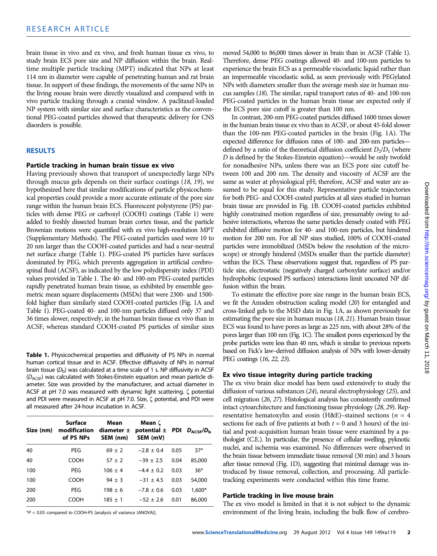brain tissue in vivo and ex vivo, and fresh human tissue ex vivo, to study brain ECS pore size and NP diffusion within the brain. Realtime multiple particle tracking (MPT) indicated that NPs at least 114 nm in diameter were capable of penetrating human and rat brain tissue. In support of these findings, the movements of the same NPs in the living mouse brain were directly visualized and compared with in vivo particle tracking through a cranial window. A paclitaxel-loaded NP system with similar size and surface characteristics as the conventional PEG-coated particles showed that therapeutic delivery for CNS disorders is possible.

#### RESULTS

#### Particle tracking in human brain tissue ex vivo

Having previously shown that transport of unexpectedly large NPs through mucus gels depends on their surface coatings (18, 19), we hypothesized here that similar modifications of particle physicochemical properties could provide a more accurate estimate of the pore size range within the human brain ECS. Fluorescent polystyrene (PS) particles with dense PEG or carboxyl (COOH) coatings (Table 1) were added to freshly dissected human brain cortex tissue, and the particle Brownian motions were quantified with ex vivo high-resolution MPT (Supplementary Methods). The PEG-coated particles used were 10 to 20 nm larger than the COOH-coated particles and had a near-neutral net surface charge (Table 1). PEG-coated PS particles have surfaces dominated by PEG, which prevents aggregation in artificial cerebrospinal fluid (ACSF), as indicated by the low polydispersity index (PDI) values provided in Table 1. The 40- and 100-nm PEG-coated particles rapidly penetrated human brain tissue, as exhibited by ensemble geometric mean square displacements (MSDs) that were 2300- and 1500 fold higher than similarly sized COOH-coated particles (Fig. 1A and Table 1). PEG-coated 40- and 100-nm particles diffused only 37 and 36 times slower, respectively, in the human brain tissue ex vivo than in ACSF, whereas standard COOH-coated PS particles of similar sizes

Table 1. Physicochemical properties and diffusivity of PS NPs in normal human cortical tissue and in ACSF. Effective diffusivity of NPs in normal brain tissue  $(D<sub>b</sub>)$  was calculated at a time scale of 1 s. NP diffusivity in ACSF  $(D_{ACSF})$  was calculated with Stokes-Einstein equation and mean particle diameter. Size was provided by the manufacturer, and actual diameter in ACSF at pH 7.0 was measured with dynamic light scattering.  $\zeta$  potential and PDI were measured in ACSF at pH 7.0. Size,  $\zeta$  potential, and PDI were all measured after 24-hour incubation in ACSF.

| Size (nm) | Surface<br>modification<br>of PS NPs | Mean<br>diameter $\pm$<br>SEM (nm) | Mean ζ<br>potential $\pm$ PDI $D_{\text{ACSE}}/D_{\text{b}}$<br>SEM (mV) |      |          |
|-----------|--------------------------------------|------------------------------------|--------------------------------------------------------------------------|------|----------|
| 40        | PEG                                  | $69 + 2$                           | $-2.8 + 0.4$                                                             | 0.05 | $37*$    |
| 40        | COOH                                 | $57 + 2$                           | $-39 \pm 2.5$                                                            | 0.04 | 85,000   |
| 100       | PEG                                  | $106 \pm 4$                        | $-4.4 \pm 0.2$                                                           | 0.03 | $36*$    |
| 100       | COOH                                 | $94 \pm 3$                         | $-31 \pm 4.5$                                                            | 0.03 | 54,000   |
| 200       | PEG                                  | $198 \pm 6$                        | $-7.8 \pm 0.6$                                                           | 0.03 | $1,600*$ |
| 200       | COOH                                 | $185 + 1$                          | $-52 \pm 2.6$                                                            | 0.01 | 86,000   |

\*P < 0.05 compared to COOH-PS [analysis of variance (ANOVA)].

moved 54,000 to 86,000 times slower in brain than in ACSF (Table 1). Therefore, dense PEG coatings allowed 40- and 100-nm particles to experience the brain ECS as a permeable viscoelastic liquid rather than an impermeable viscoelastic solid, as seen previously with PEGylated NPs with diameters smaller than the average mesh size in human mucus samples (18). The similar, rapid transport rates of 40- and 100-nm PEG-coated particles in the human brain tissue are expected only if the ECS pore size cutoff is greater than 100 nm.

In contrast, 200-nm PEG-coated particles diffused 1600 times slower in the human brain tissue ex vivo than in ACSF, or about 45-fold slower than the 100-nm PEG-coated particles in the brain (Fig. 1A). The expected difference for diffusion rates of 100- and 200-nm particles defined by a ratio of the theoretical diffusion coefficient  $D_2/D_1$  (where D is defined by the Stokes-Einstein equation)—would be only twofold for nonadhesive NPs, unless there was an ECS pore size cutoff between 100 and 200 nm. The density and viscosity of ACSF are the same as water at physiological pH; therefore, ACSF and water are assumed to be equal for this study. Representative particle trajectories for both PEG- and COOH-coated particles at all sizes studied in human brain tissue are provided in Fig. 1B. COOH-coated particles exhibited highly constrained motion regardless of size, presumably owing to adhesive interactions, whereas the same particles densely coated with PEG exhibited diffusive motion for 40- and 100-nm particles, but hindered motion for 200 nm. For all NP sizes studied, 100% of COOH-coated particles were immobilized (MSDs below the resolution of the microscope) or strongly hindered (MSDs smaller than the particle diameter) within the ECS. These observations suggest that, regardless of PS particle size, electrostatic (negatively charged carboxylate surface) and/or hydrophobic (exposed PS surfaces) interactions limit uncoated NP diffusion within the brain.

To estimate the effective pore size range in the human brain ECS, we fit the Amsden obstruction scaling model (20) for entangled and cross-linked gels to the MSD data in Fig. 1A, as shown previously for estimating the pore size in human mucus (18, 21). Human brain tissue ECS was found to have pores as large as 225 nm, with about 28% of the pores larger than 100 nm (Fig. 1C). The smallest pores experienced by the probe particles were less than 40 nm, which is similar to previous reports based on Fick's law–derived diffusion analysis of NPs with lower-density PEG coatings (16, 22, 23).

#### Ex vivo tissue integrity during particle tracking

The ex vivo brain slice model has been used extensively to study the diffusion of various substances (24), neural electrophysiology (25), and cell migration (26, 27). Histological analysis has consistently confirmed intact cytoarchitecture and functioning tissue physiology (28, 29). Representative hematoxylin and eosin (H&E)–stained sections ( $n = 4$ sections for each of five patients at both  $t = 0$  and 3 hours) of the initial and post-acquisition human brain tissue were examined by a pathologist (C.E.). In particular, the presence of cellular swelling, pyknotic nuclei, and ischemia was examined. No differences were observed in the brain tissue between immediate tissue removal (30 min) and 3 hours after tissue removal (Fig. 1D), suggesting that minimal damage was introduced by tissue removal, collection, and processing. All particletracking experiments were conducted within this time frame.

#### Particle tracking in live mouse brain

The ex vivo model is limited in that it is not subject to the dynamic environment of the living brain, including the bulk flow of cerebro-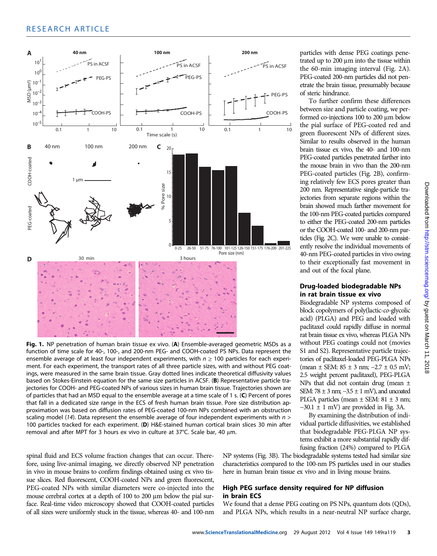

Fig. 1. NP penetration of human brain tissue ex vivo. (A) Ensemble-averaged geometric MSDs as a function of time scale for 40-, 100-, and 200-nm PEG- and COOH-coated PS NPs. Data represent the ensemble average of at least four independent experiments, with  $n \geq 100$  particles for each experiment. For each experiment, the transport rates of all three particle sizes, with and without PEG coatings, were measured in the same brain tissue. Gray dotted lines indicate theoretical diffusivity values based on Stokes-Einstein equation for the same size particles in ACSF. (B) Representative particle trajectories for COOH- and PEG-coated NPs of various sizes in human brain tissue. Trajectories shown are of particles that had an MSD equal to the ensemble average at a time scale of 1 s. (C) Percent of pores that fall in a dedicated size range in the ECS of fresh human brain tissue. Pore size distribution approximation was based on diffusion rates of PEG-coated 100-nm NPs combined with an obstruction scaling model (14). Data represent the ensemble average of four independent experiments with  $n >$ 100 particles tracked for each experiment. (D) H&E-stained human cortical brain slices 30 min after removal and after MPT for 3 hours ex vivo in culture at 37°C. Scale bar, 40 µm.

spinal fluid and ECS volume fraction changes that can occur. Therefore, using live-animal imaging, we directly observed NP penetration in vivo in mouse brains to confirm findings obtained using ex vivo tissue slices. Red fluorescent, COOH-coated NPs and green fluorescent, PEG-coated NPs with similar diameters were co-injected into the mouse cerebral cortex at a depth of 100 to 200 µm below the pial surface. Real-time video microscopy showed that COOH-coated particles of all sizes were uniformly stuck in the tissue, whereas 40- and 100-nm

NP systems (Fig. 3B). The biodegradable systems tested had similar size characteristics compared to the 100-nm PS particles used in our studies here in human brain tissue ex vivo and in living mouse brains.

#### High PEG surface density required for NP diffusion in brain ECS

We found that a dense PEG coating on PS NPs, quantum dots (QDs), and PLGA NPs, which results in a near-neutral NP surface charge,

particles with dense PEG coatings penetrated up to  $200 \mu m$  into the tissue within the 60-min imaging interval (Fig. 2A). PEG-coated 200-nm particles did not penetrate the brain tissue, presumably because of steric hindrance.

To further confirm these differences between size and particle coating, we performed co-injections 100 to 200 µm below the pial surface of PEG-coated red and green fluorescent NPs of different sizes. Similar to results observed in the human brain tissue ex vivo, the 40- and 100-nm PEG-coated particles penetrated farther into the mouse brain in vivo than the 200-nm PEG-coated particles (Fig. 2B), confirming relatively few ECS pores greater than 200 nm. Representative single-particle trajectories from separate regions within the brain showed much farther movement for the 100-nm PEG-coated particles compared to either the PEG-coated 200-nm particles or the COOH-coated 100- and 200-nm particles (Fig. 2C). We were unable to consistently resolve the individual movements of 40-nm PEG-coated particles in vivo owing to their exceptionally fast movement in and out of the focal plane.

#### Drug-loaded biodegradable NPs in rat brain tissue ex vivo

Biodegradable NP systems composed of block copolymers of poly(lactic-co-glycolic acid) (PLGA) and PEG and loaded with paclitaxel could rapidly diffuse in normal rat brain tissue ex vivo, whereas PLGA NPs without PEG coatings could not (movies S1 and S2). Representative particle trajectories of paclitaxel-loaded PEG-PLGA NPs (mean ± SEM: 85 ± 3 nm; −2.7 ± 0.5 mV; 2.5 weight percent paclitaxel), PEG-PLGA NPs that did not contain drug (mean ± SEM: 78 ± 3 nm; −3.5 ± 1 mV), and uncoated PLGA particles (mean  $\pm$  SEM: 81  $\pm$  3 nm;  $-30.1 \pm 1$  mV) are provided in Fig. 3A.

By examining the distribution of individual particle diffusivities, we established that biodegradable PEG-PLGA NP systems exhibit a more substantial rapidly diffusing fraction (24%) compared to PLGA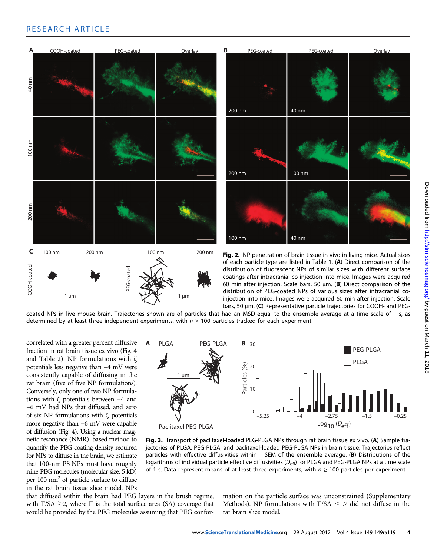### RESEARCH ARTICLE



coated NPs in live mouse brain. Trajectories shown are of particles that had an MSD equal to the ensemble average at a time scale of 1 s, as determined by at least three independent experiments, with  $n \geq 100$  particles tracked for each experiment.

correlated with a greater percent diffusive fraction in rat brain tissue ex vivo (Fig. 4 and Table 2). NP formulations with  $\zeta$ potentials less negative than −4 mV were consistently capable of diffusing in the rat brain (five of five NP formulations). Conversely, only one of two NP formulations with  $\zeta$  potentials between  $-4$  and −6 mV had NPs that diffused, and zero of six NP formulations with  $\zeta$  potentials more negative than −6 mV were capable of diffusion (Fig. 4). Using a nuclear magnetic resonance (NMR)–based method to quantify the PEG coating density required for NPs to diffuse in the brain, we estimate that 100-nm PS NPs must have roughly nine PEG molecules (molecular size, 5 kD) per 100 nm2 of particle surface to diffuse in the rat brain tissue slice model. NPs



Fig. 3. Transport of paclitaxel-loaded PEG-PLGA NPs through rat brain tissue ex vivo. (A) Sample trajectories of PLGA, PEG-PLGA, and paclitaxel-loaded PEG-PLGA NPs in brain tissue. Trajectories reflect particles with effective diffusivities within 1 SEM of the ensemble average. (B) Distributions of the logarithms of individual particle effective diffusivities (D<sub>eff</sub>) for PLGA and PEG-PLGA NPs at a time scale of 1 s. Data represent means of at least three experiments, with  $n \geq 100$  particles per experiment.

that diffused within the brain had PEG layers in the brush regime, with  $\Gamma/SA \geq 2$ , where  $\Gamma$  is the total surface area (SA) coverage that would be provided by the PEG molecules assuming that PEG conformation on the particle surface was unconstrained (Supplementary Methods). NP formulations with  $\Gamma/SA \leq 1.7$  did not diffuse in the rat brain slice model.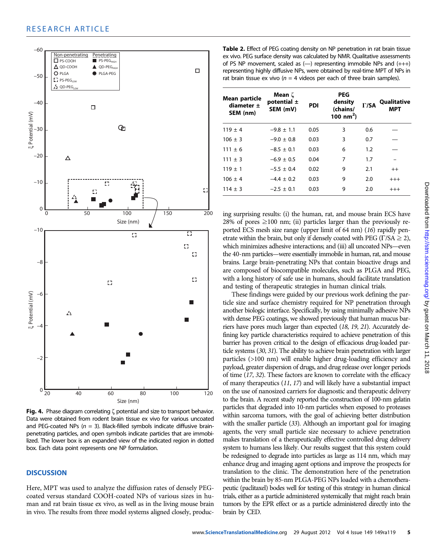

Fig. 4. Phase diagram correlating  $\zeta$  potential and size to transport behavior. Data were obtained from rodent brain tissue ex vivo for various uncoated and PEG-coated NPs ( $n = 3$ ). Black-filled symbols indicate diffusive brainpenetrating particles, and open symbols indicate particles that are immobilized. The lower box is an expanded view of the indicated region in dotted box. Each data point represents one NP formulation.

#### **DISCUSSION**

Here, MPT was used to analyze the diffusion rates of densely PEGcoated versus standard COOH-coated NPs of various sizes in human and rat brain tissue ex vivo, as well as in the living mouse brain in vivo. The results from three model systems aligned closely, produc-

Table 2. Effect of PEG coating density on NP penetration in rat brain tissue ex vivo. PEG surface density was calculated by NMR. Qualitative assessments of PS NP movement, scaled as (—) representing immobile NPs and (+++) representing highly diffusive NPs, were obtained by real-time MPT of NPs in rat brain tissue ex vivo ( $n = 4$  videos per each of three brain samples).

| Mean particle<br>diameter $\pm$<br>SEM (nm) | Mean ζ<br>potential $\pm$<br>SEM (mV) | <b>PDI</b> | <b>PEG</b><br>density<br>(chains/<br>100 nm <sup>2</sup> ) | $\Gamma$ /SA | Qualitative<br>MPT |
|---------------------------------------------|---------------------------------------|------------|------------------------------------------------------------|--------------|--------------------|
| $119 \pm 4$                                 | $-9.8 \pm 1.1$                        | 0.05       | 3                                                          | 0.6          |                    |
| $106 \pm 3$                                 | $-9.0 \pm 0.8$                        | 0.03       | 3                                                          | 0.7          |                    |
| $111 \pm 6$                                 | $-8.5 \pm 0.1$                        | 0.03       | 6                                                          | 1.2          |                    |
| $111 \pm 3$                                 | $-6.9 \pm 0.5$                        | 0.04       | 7                                                          | 1.7          |                    |
| $119 \pm 1$                                 | $-5.5 \pm 0.4$                        | 0.02       | 9                                                          | 2.1          | $^{++}$            |
| $106 \pm 4$                                 | $-4.4 \pm 0.2$                        | 0.03       | 9                                                          | 2.0          | $^{+++}$           |
| $114 \pm 3$                                 | $-2.5 \pm 0.1$                        | 0.03       | 9                                                          | 2.0          | $^{+++}$           |

ing surprising results: (i) the human, rat, and mouse brain ECS have 28% of pores  $\geq$ 100 nm; (ii) particles larger than the previously reported ECS mesh size range (upper limit of 64 nm) (16) rapidly penetrate within the brain, but only if densely coated with PEG ( $\Gamma$ /SA  $\geq$  2), which minimizes adhesive interactions; and (iii) all uncoated NPs—even the 40-nm particles—were essentially immobile in human, rat, and mouse brains. Large brain-penetrating NPs that contain bioactive drugs and are composed of biocompatible molecules, such as PLGA and PEG, with a long history of safe use in humans, should facilitate translation and testing of therapeutic strategies in human clinical trials.

These findings were guided by our previous work defining the particle size and surface chemistry required for NP penetration through another biologic interface. Specifically, by using minimally adhesive NPs with dense PEG coatings, we showed previously that human mucus barriers have pores much larger than expected (18, 19, 21). Accurately defining key particle characteristics required to achieve penetration of this barrier has proven critical to the design of efficacious drug-loaded particle systems (30, 31). The ability to achieve brain penetration with larger particles (>100 nm) will enable higher drug-loading efficiency and payload, greater dispersion of drugs, and drug release over longer periods of time (17, 32). These factors are known to correlate with the efficacy of many therapeutics (11, 17) and will likely have a substantial impact on the use of nanosized carriers for diagnostic and therapeutic delivery to the brain. A recent study reported the construction of 100-nm gelatin particles that degraded into 10-nm particles when exposed to proteases within sarcoma tumors, with the goal of achieving better distribution with the smaller particle (33). Although an important goal for imaging agents, the very small particle size necessary to achieve penetration makes translation of a therapeutically effective controlled drug delivery system to humans less likely. Our results suggest that this system could be redesigned to degrade into particles as large as 114 nm, which may enhance drug and imaging agent options and improve the prospects for translation to the clinic. The demonstration here of the penetration within the brain by 85-nm PLGA-PEG NPs loaded with a chemotherapeutic (paclitaxel) bodes well for testing of this strategy in human clinical trials, either as a particle administered systemically that might reach brain tumors by the EPR effect or as a particle administered directly into the brain by CED.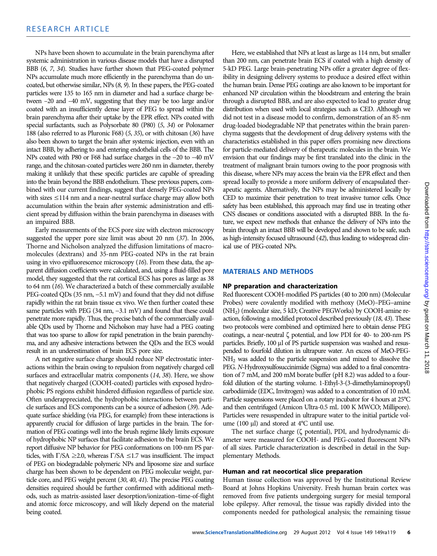NPs have been shown to accumulate in the brain parenchyma after systemic administration in various disease models that have a disrupted BBB (6, 7, 34). Studies have further shown that PEG-coated polymer NPs accumulate much more efficiently in the parenchyma than do uncoated, but otherwise similar, NPs (8, 9). In these papers, the PEG-coated particles were 135 to 165 nm in diameter and had a surface charge between –20 and –40 mV, suggesting that they may be too large and/or coated with an insufficiently dense layer of PEG to spread within the brain parenchyma after their uptake by the EPR effect. NPs coated with special surfactants, such as Polysorbate 80 (P80) (5, 34) or Poloxamer 188 (also referred to as Pluronic F68) (5, 35), or with chitosan (36) have also been shown to target the brain after systemic injection, even with an intact BBB, by adhering to and entering endothelial cells of the BBB. The NPs coated with P80 or F68 had surface charges in the −20 to −40 mV range, and the chitosan-coated particles were 260 nm in diameter, thereby making it unlikely that these specific particles are capable of spreading into the brain beyond the BBB endothelium. These previous papers, combined with our current findings, suggest that densely PEG-coated NPs with sizes ≤114 nm and a near-neutral surface charge may allow both accumulation within the brain after systemic administration and efficient spread by diffusion within the brain parenchyma in diseases with an impaired BBB.

Early measurements of the ECS pore size with electron microscopy suggested the upper pore size limit was about 20 nm (37). In 2006, Thorne and Nicholson analyzed the diffusion limitations of macromolecules (dextrans) and 35-nm PEG-coated NPs in the rat brain using in vivo epifluorescence microscopy (16). From these data, the apparent diffusion coefficients were calculated, and, using a fluid-filled pore model, they suggested that the rat cortical ECS has pores as large as 38 to 64 nm (16). We characterized a batch of these commercially available PEG-coated QDs (35 nm, −5.1 mV) and found that they did not diffuse rapidly within the rat brain tissue ex vivo. We then further coated these same particles with PEG (34 nm, −3.1 mV) and found that these could penetrate more rapidly. Thus, the precise batch of the commercially available QDs used by Thorne and Nicholson may have had a PEG coating that was too sparse to allow for rapid penetration in the brain parenchyma, and any adhesive interactions between the QDs and the ECS would result in an underestimation of brain ECS pore size.

A net negative surface charge should reduce NP electrostatic interactions within the brain owing to repulsion from negatively charged cell surfaces and extracellular matrix components (14, 38). Here, we show that negatively charged (COOH-coated) particles with exposed hydrophobic PS regions exhibit hindered diffusion regardless of particle size. Often underappreciated, the hydrophobic interactions between particle surfaces and ECS components can be a source of adhesion (39). Adequate surface shielding (via PEG, for example) from these interactions is apparently crucial for diffusion of large particles in the brain. The formation of PEG coatings well into the brush regime likely limits exposure of hydrophobic NP surfaces that facilitate adhesion to the brain ECS. We report diffusive NP behavior for PEG conformations on 100-nm PS particles, with  $\Gamma$ /SA ≥2.0, whereas  $\Gamma$ /SA ≤1.7 was insufficient. The impact of PEG on biodegradable polymeric NPs and liposome size and surface charge has been shown to be dependent on PEG molecular weight, particle core, and PEG weight percent (30, 40, 41). The precise PEG coating densities required should be further confirmed with additional methods, such as matrix-assisted laser desorption/ionization–time-of-flight and atomic force microscopy, and will likely depend on the material being coated.

Here, we established that NPs at least as large as 114 nm, but smaller than 200 nm, can penetrate brain ECS if coated with a high density of 5-kD PEG. Large brain-penetrating NPs offer a greater degree of flexibility in designing delivery systems to produce a desired effect within the human brain. Dense PEG coatings are also known to be important for enhanced NP circulation within the bloodstream and entering the brain through a disrupted BBB, and are also expected to lead to greater drug distribution when used with local strategies such as CED. Although we did not test in a disease model to confirm, demonstration of an 85-nm drug-loaded biodegradable NP that penetrates within the brain parenchyma suggests that the development of drug delivery systems with the characteristics established in this paper offers promising new directions for particle-mediated delivery of therapeutic molecules in the brain. We envision that our findings may be first translated into the clinic in the treatment of malignant brain tumors owing to the poor prognosis with this disease, where NPs may access the brain via the EPR effect and then spread locally to provide a more uniform delivery of encapsulated therapeutic agents. Alternatively, the NPs may be administered locally by CED to maximize their penetration to treat invasive tumor cells. Once safety has been established, this approach may find use in treating other CNS diseases or conditions associated with a disrupted BBB. In the future, we expect new methods that enhance the delivery of NPs into the brain through an intact BBB will be developed and shown to be safe, such as high-intensity focused ultrasound (42), thus leading to widespread clinical use of PEG-coated NPs.

#### MATERIALS AND METHODS

#### NP preparation and characterization

Red fluorescent COOH-modified PS particles (40 to 200 nm) (Molecular Probes) were covalently modified with methoxy (MeO)–PEG–amine (NH2) (molecular size, 5 kD; Creative PEGWorks) by COOH-amine reaction, following a modified protocol described previously (18, 43). These two protocols were combined and optimized here to obtain dense PEG coatings, a near-neutral  $\zeta$  potential, and low PDI for 40- to 200-nm PS particles. Briefly, 100 µl of PS particle suspension was washed and resuspended to fourfold dilution in ultrapure water. An excess of MeO-PEG-NH2 was added to the particle suspension and mixed to dissolve the PEG. N-Hydroxysulfosuccinimide (Sigma) was added to a final concentration of 7 mM, and 200 mM borate buffer (pH 8.2) was added to a fourfold dilution of the starting volume. 1-Ethyl-3-(3-dimethylaminopropyl) carbodiimide (EDC, Invitrogen) was added to a concentration of 10 mM. Particle suspensions were placed on a rotary incubator for 4 hours at 25°C and then centrifuged (Amicon Ultra-0.5 mL 100 K MWCO; Millipore). Particles were resuspended in ultrapure water to the initial particle volume (100  $\mu$ l) and stored at 4°C until use.

The net surface charge ( $\zeta$  potential), PDI, and hydrodynamic diameter were measured for COOH- and PEG-coated fluorescent NPs of all sizes. Particle characterization is described in detail in the Supplementary Methods.

#### Human and rat neocortical slice preparation

Human tissue collection was approved by the Institutional Review Board at Johns Hopkins University. Fresh human brain cortex was removed from five patients undergoing surgery for mesial temporal lobe epilepsy. After removal, the tissue was rapidly divided into the components needed for pathological analysis; the remaining tissue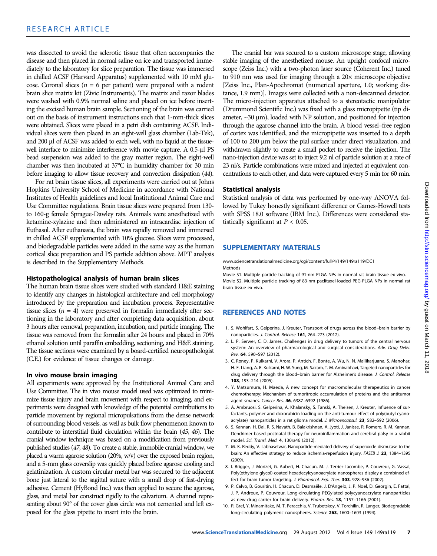was dissected to avoid the sclerotic tissue that often accompanies the disease and then placed in normal saline on ice and transported immediately to the laboratory for slice preparation. The tissue was immersed in chilled ACSF (Harvard Apparatus) supplemented with 10 mM glucose. Coronal slices ( $n = 6$  per patient) were prepared with a rodent brain slice matrix kit (Zivic Instruments). The matrix and razor blades were washed with 0.9% normal saline and placed on ice before inserting the excised human brain sample. Sectioning of the brain was carried out on the basis of instrument instructions such that 1-mm-thick slices were obtained. Slices were placed in a petri dish containing ACSF. Individual slices were then placed in an eight-well glass chamber (Lab-Tek), and 200 µl of ACSF was added to each well, with no liquid at the tissuewell interface to minimize interference with movie capture. A 0.5-µl PS bead suspension was added to the gray matter region. The eight-well chamber was then incubated at 37°C in humidity chamber for 30 min before imaging to allow tissue recovery and convection dissipation (44).

For rat brain tissue slices, all experiments were carried out at Johns Hopkins University School of Medicine in accordance with National Institutes of Health guidelines and local Institutional Animal Care and Use Committee regulations. Brain tissue slices were prepared from 130 to 160-g female Sprague-Dawley rats. Animals were anesthetized with ketamine-xylazine and then administered an intracardiac injection of Euthasol. After euthanasia, the brain was rapidly removed and immersed in chilled ACSF supplemented with 10% glucose. Slices were processed, and biodegradable particles were added in the same way as the human cortical slice preparation and PS particle addition above. MPT analysis is described in the Supplementary Methods.

#### Histopathological analysis of human brain slices

The human brain tissue slices were studied with standard H&E staining to identify any changes in histological architecture and cell morphology introduced by the preparation and incubation process. Representative tissue slices  $(n = 4)$  were preserved in formalin immediately after sectioning in the laboratory and after completing data acquisition, about 3 hours after removal, preparation, incubation, and particle imaging. The tissue was removed from the formalin after 24 hours and placed in 70% ethanol solution until paraffin embedding, sectioning, and H&E staining. The tissue sections were examined by a board-certified neuropathologist (C.E.) for evidence of tissue changes or damage.

#### In vivo mouse brain imaging

All experiments were approved by the Institutional Animal Care and Use Committee. The in vivo mouse model used was optimized to minimize tissue injury and brain movement with respect to imaging, and experiments were designed with knowledge of the potential contributions to particle movement by regional micropulsations from the dense network of surrounding blood vessels, as well as bulk flow phenomenon known to contribute to interstitial fluid circulation within the brain (45, 46). The cranial window technique was based on a modification from previously published studies (47, 48). To create a stable, immobile cranial window, we placed a warm agarose solution (20%, w/v) over the exposed brain region, and a 5-mm glass coverslip was quickly placed before agarose cooling and gelatinization. A custom circular metal bar was secured to the adjacent bone just lateral to the sagittal suture with a small drop of fast-drying adhesive. Cement (HyBond Inc.) was then applied to secure the agarose, glass, and metal bar construct rigidly to the calvarium. A channel representing about 90° of the cover glass circle was not cemented and left exposed for the glass pipette to insert into the brain.

The cranial bar was secured to a custom microscope stage, allowing stable imaging of the anesthetized mouse. An upright confocal microscope (Zeiss Inc.) with a two-photon laser source (Coherent Inc.) tuned to 910 nm was used for imaging through a 20x microscope objective [Zeiss Inc., Plan-Apochromat (numerical aperture, 1.0; working distance, 1.9 mm)]. Images were collected with a non-descanned detector. The micro-injection apparatus attached to a stereotactic manipulator (Drummond Scientific Inc.) was fixed with a glass micropipette (tip diameter,  $\sim$ 30  $\mu$ m), loaded with NP solution, and positioned for injection through the agarose channel into the brain. A blood vessel–free region of cortex was identified, and the micropipette was inserted to a depth of 100 to 200 µm below the pial surface under direct visualization, and withdrawn slightly to create a small pocket to receive the injection. The nano-injection device was set to inject 9.2 nl of particle solution at a rate of 23 nl/s. Particle combinations were mixed and injected at equivalent concentrations to each other, and data were captured every 5 min for 60 min.

#### Statistical analysis

Statistical analysis of data was performed by one-way ANOVA followed by Tukey honestly significant difference or Games-Howell tests with SPSS 18.0 software (IBM Inc.). Differences were considered statistically significant at  $P < 0.05$ .

### SUPPLEMENTARY MATERIALS

www.sciencetranslationalmedicine.org/cgi/content/full/4/149/149ra119/DC1 Methods

Movie S1. Multiple particle tracking of 91-nm PLGA NPs in normal rat brain tissue ex vivo. Movie S2. Multiple particle tracking of 83-nm paclitaxel-loaded PEG-PLGA NPs in normal rat brain tissue ex vivo.

#### REFERENCES AND NOTES

- 1. S. Wohlfart, S. Gelperina, J. Kreuter, Transport of drugs across the blood–brain barrier by nanoparticles. J. Control. Release 161, 264–273 (2012).
- 2. L. P. Serwer, C. D. James, Challenges in drug delivery to tumors of the central nervous system: An overview of pharmacological and surgical considerations. Adv. Drug Deliv. Rev. 64, 590–597 (2012).
- 3. C. Roney, P. Kulkarni, V. Arora, P. Antich, F. Bonte, A. Wu, N. N. Mallikarjuana, S. Manohar, H. F. Liang, A. R. Kulkarni, H. W. Sung, M. Sairam, T. M. Aminabhavi, Targeted nanoparticles for drug delivery through the blood–brain barrier for Alzheimer's disease. J. Control. Release 108, 193–214 (2005).
- 4. Y. Matsumura, H. Maeda, A new concept for macromolecular therapeutics in cancer chemotherapy: Mechanism of tumoritropic accumulation of proteins and the antitumor agent smancs. Cancer Res. 46, 6387–6392 (1986).
- 5. A. Ambruosi, S. Gelperina, A. Khalansky, S. Tanski, A. Theisen, J. Kreuter, Influence of surfactants, polymer and doxorubicin loading on the anti-tumour effect of poly(butyl cyanoacrylate) nanoparticles in a rat glioma model. J. Microencapsul. 23, 582-592 (2006).
- 6. S. Kannan, H. Dai, R. S. Navath, B. Balakrishnan, A. Jyoti, J. Janisse, R. Romero, R. M. Kannan, Dendrimer-based postnatal therapy for neuroinflammation and cerebral palsy in a rabbit model. Sci. Transl. Med. 4, 130ra46 (2012).
- 7. M. K. Reddy, V. Labhasetwar, Nanoparticle-mediated delivery of superoxide dismutase to the brain: An effective strategy to reduce ischemia-reperfusion injury. FASEB J. 23, 1384-1395 (2009).
- 8. I. Brigger, J. Morizet, G. Aubert, H. Chacun, M. J. Terrier-Lacombe, P. Couvreur, G. Vassal, Poly(ethylene glycol)-coated hexadecylcyanoacrylate nanospheres display a combined effect for brain tumor targeting. J. Pharmacol. Exp. Ther. 303, 928–936 (2002).
- 9. P. Calvo, B. Gouritin, H. Chacun, D. Desmaële, J. D'Angelo, J. P. Noel, D. Georgin, E. Fattal, J. P. Andreux, P. Couvreur, Long-circulating PEGylated polycyanoacrylate nanoparticles as new drug carrier for brain delivery. Pharm. Res. 18, 1157–1166 (2001).
- 10. R. Gref, Y. Minamitake, M. T. Peracchia, V. Trubetskoy, V. Torchilin, R. Langer, Biodegradable long-circulating polymeric nanospheres. Science 263, 1600–1603 (1994).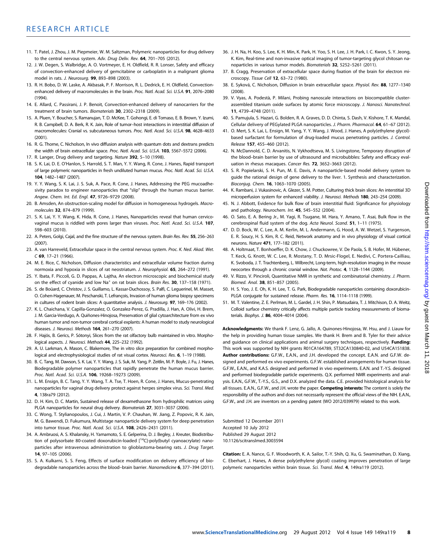- 11. T. Patel, J. Zhou, J. M. Piepmeier, W. M. Saltzman, Polymeric nanoparticles for drug delivery to the central nervous system. Adv. Drug Deliv. Rev. 64, 701-705 (2012).
- 12. J. W. Degen, S. Walbridge, A. O. Vortmeyer, E. H. Oldfield, R. R. Lonser, Safety and efficacy of convection-enhanced delivery of gemcitabine or carboplatin in a malignant glioma model in rats. J. Neurosurg. 99, 893–898 (2003).
- 13. R. H. Bobo, D. W. Laske, A. Akbasak, P. F. Morrison, R. L. Dedrick, E. H. Oldfield, Convectionenhanced delivery of macromolecules in the brain. Proc. Natl. Acad. Sci. U.S.A. 91, 2076-2080 (1994).
- 14. E. Allard, C. Passirani, J. P. Benoit, Convection-enhanced delivery of nanocarriers for the treatment of brain tumors. Biomaterials 30, 2302–2318 (2009).
- 15. A. Pluen, Y. Boucher, S. Ramanujan, T. D. McKee, T. Gohongi, E. di Tomaso, E. B. Brown, Y. Izumi, R. B. Campbell, D. A. Berk, R. K. Jain, Role of tumor–host interactions in interstitial diffusion of macromolecules: Cranial vs. subcutaneous tumors. Proc. Natl. Acad. Sci. U.S.A. 98, 4628-4633 (2001).
- 16. R. G. Thorne, C. Nicholson, In vivo diffusion analysis with quantum dots and dextrans predicts the width of brain extracellular space. Proc. Natl. Acad. Sci. U.S.A. 103, 5567-5572 (2006).
- 17. R. Langer, Drug delivery and targeting. Nature 392, 5-10 (1998).
- 18. S. K. Lai, D. E. O'Hanlon, S. Harrold, S. T. Man, Y. Y. Wang, R. Cone, J. Hanes, Rapid transport of large polymeric nanoparticles in fresh undiluted human mucus. Proc. Natl. Acad. Sci. U.S.A. 104, 1482–1487 (2007).
- 19. Y. Y. Wang, S. K. Lai, J. S. Suk, A. Pace, R. Cone, J. Hanes, Addressing the PEG mucoadhesivity paradox to engineer nanoparticles that "slip" through the human mucus barrier. Angew. Chem. Int. Ed. Engl. 47, 9726-9729 (2008).
- 20. B. Amsden, An obstruction-scaling model for diffusion in homogeneous hydrogels. Macromolecules 32, 874–879 (1999).
- 21. S. K. Lai, Y. Y. Wang, K. Hida, R. Cone, J. Hanes, Nanoparticles reveal that human cervicovaginal mucus is riddled with pores larger than viruses. Proc. Natl. Acad. Sci. U.S.A. 107, 598–603 (2010).
- 22. A. Peters, Golgi, Cajal, and the fine structure of the nervous system. Brain Res. Rev. 55, 256-263 (2007).
- 23. A. van Harreveld, Extracellular space in the central nervous system. Proc. K. Ned. Akad. Wet.  $C$  69, 17–21 (1966).
- 24. M. E. Rice, C. Nicholson, Diffusion characteristics and extracellular volume fraction during normoxia and hypoxia in slices of rat neostriatum. J. Neurophysiol. 65, 264–272 (1991).
- 25. Y. Ibata, F. Piccoli, G. D. Pappas, A. Lajtha, An electron microscopic and biochemical study on the effect of cyanide and low  $Na<sup>+</sup>$  on rat brain slices. *Brain Res.* **30**, 137–158 (1971).
- 26. S. de Boüard, C. Christov, J. S. Guillamo, L. Kassar-Duchossoy, S. Palfi, C. Leguerinel, M. Masset, O. Cohen-Hagenauer, M. Peschanski, T. Lefrançois, Invasion of human glioma biopsy specimens in cultures of rodent brain slices: A quantitative analysis. J. Neurosurg. 97, 169–176 (2002).
- 27. K. L. Chaichana, V. Capilla-Gonzalez, O. Gonzalez-Perez, G. Pradilla, J. Han, A. Olivi, H. Brem, J. M. Garcia-Verdugo, A. Quiñones-Hinojosa, Preservation of glial cytoarchitecture from ex vivo human tumor and non-tumor cerebral cortical explants: A human model to study neurological diseases. J. Neurosci. Methods 164, 261–270 (2007).
- 28. F. Hajós, B. Gerics, P. Sótonyi, Slices from the rat olfactory bulb maintained in vitro. Morphological aspects. J. Neurosci. Methods 44, 225-232 (1992).
- 29. A. U. Larkman, A. Mason, C. Blakemore, The in vitro slice preparation for combined morphological and electrophysiological studies of rat visual cortex. Neurosci. Res. 6, 1-19 (1988).
- 30. B. C. Tang, M. Dawson, S. K. Lai, Y. Y. Wang, J. S. Suk, M. Yang, P. Zeitlin, M. P. Boyle, J. Fu, J. Hanes, Biodegradable polymer nanoparticles that rapidly penetrate the human mucus barrier. Proc. Natl. Acad. Sci. U.S.A. 106, 19268-19273 (2009).
- 31. L. M. Ensign, B. C. Tang, Y. Y. Wang, T. A. Tse, T. Hoen, R. Cone, J. Hanes, Mucus-penetrating nanoparticles for vaginal drug delivery protect against herpes simplex virus. Sci. Transl. Med. 4, 138ra79 (2012).
- 32. D. H. Kim, D. C. Martin, Sustained release of dexamethasone from hydrophilic matrices using PLGA nanoparticles for neural drug delivery. Biomaterials 27, 3031-3037 (2006).
- 33. C. Wong, T. Stylianopoulos, J. Cui, J. Martin, V. P. Chauhan, W. Jiang, Z. Popovic, R. K. Jain, M. G. Bawendi, D. Fukumura, Multistage nanoparticle delivery system for deep penetration into tumor tissue. Proc. Natl. Acad. Sci. U.S.A. 108, 2426–2431 (2011).
- 34. A. Ambruosi, A. S. Khalansky, H. Yamamoto, S. E. Gelperina, D. J. Begley, J. Kreuter, Biodistribution of polysorbate 80-coated doxorubicin-loaded  $[14C]$ -poly(butyl cyanoacrylate) nanoparticles after intravenous administration to glioblastoma-bearing rats. J. Drug Target. 14, 97–105 (2006).
- 35. S. A. Kulkarni, S. S. Feng, Effects of surface modification on delivery efficiency of biodegradable nanoparticles across the blood–brain barrier. Nanomedicine 6, 377–394 (2011).
- 36. J. H. Na, H. Koo, S. Lee, K. H. Min, K. Park, H. Yoo, S. H. Lee, J. H. Park, I. C. Kwon, S. Y. Jeong, K. Kim, Real-time and non-invasive optical imaging of tumor-targeting glycol chitosan nanoparticles in various tumor models. Biomaterials 32, 5252–5261 (2011).
- 37. B. Cragg, Preservation of extracellular space during fixation of the brain for electron microscopy. Tissue Cell 12, 63–72 (1980).
- 38. E. Syková, C. Nicholson, Diffusion in brain extracellular space. Physiol. Rev. 88, 1277–1340 (2008).
- 39. V. Vyas, A. Podestà, P. Milani, Probing nanoscale interactions on biocompatible clusterassembled titanium oxide surfaces by atomic force microscopy. J. Nanosci. Nanotechnol. 11, 4739–4748 (2011).
- 40. S. Pamujula, S. Hazari, G. Bolden, R. A. Graves, D. D. Chinta, S. Dash, V. Kishore, T. K. Mandal, Cellular delivery of PEGylated PLGA nanoparticles. J. Pharm. Pharmacol. 64, 61–67 (2012).
- 41. O. Mert, S. K. Lai, L. Ensign, M. Yang, Y. Y. Wang, J. Wood, J. Hanes, A poly(ethylene glycol) based surfactant for formulation of drug-loaded mucus penetrating particles. J. Control. Release 157, 455–460 (2012).
- 42. N. McDannold, C. D. Arvanitis, N. Vykhodtseva, M. S. Livingstone, Temporary disruption of the blood–brain barrier by use of ultrasound and microbubbles: Safety and efficacy evaluation in rhesus macaques. Cancer Res. 72, 3652–3663 (2012).
- 43. S. R. Popielarski, S. H. Pun, M. E. Davis, A nanoparticle-based model delivery system to guide the rational design of gene delivery to the liver. 1. Synthesis and characterization. Bioconjug. Chem. 16, 1063–1070 (2005).
- 44. K. Rambani, J. Vukasinovic, A. Glezer, S. M. Potter, Culturing thick brain slices: An interstitial 3D microperfusion system for enhanced viability. J. Neurosci. Methods 180, 243-254 (2009).
- 45. N. J. Abbott, Evidence for bulk flow of brain interstitial fluid: Significance for physiology and pathology. Neurochem. Int. 45, 545–552 (2004).
- 46. O. Sato, E. A. Bering Jr., M. Yagi, R. Tsugane, M. Hara, Y. Amano, T. Asai, Bulk flow in the cerebrospinal fluid system of the dog. Acta Neurol. Scand. 51, 1–11 (1975).
- 47. D. D. Bock, W. C. Lee, A. M. Kerlin, M. L. Andermann, G. Hood, A. W. Wetzel, S. Yurgenson, E. R. Soucy, H. S. Kim, R. C. Reid, Network anatomy and in vivo physiology of visual cortical neurons. Nature 471, 177–182 (2011).
- 48. A. Holtmaat, T. Bonhoeffer, D. K. Chow, J. Chuckowree, V. De Paola, S. B. Hofer, M. Hübener, T. Keck, G. Knott, W. C. Lee, R. Mostany, T. D. Mrsic-Flogel, E. Nedivi, C. Portera-Cailliau, K. Svoboda, J. T. Trachtenberg, L. Wilbrecht, Long-term, high-resolution imaging in the mouse neocortex through a chronic cranial window. Nat. Protoc. 4, 1128–1144 (2009).
- 49. V. Rizzo, V. Pinciroli, Quantitative NMR in synthetic and combinatorial chemistry. J. Pharm. Biomed. Anal. 38, 851–857 (2005).
- 50. H. S. Yoo, J. E. Oh, K. H. Lee, T. G. Park, Biodegradable nanoparticles containing doxorubicin-PLGA conjugate for sustained release. Pharm. Res. 16, 1114-1118 (1999).
- 51. M. T. Valentine, Z. E. Perlman, M. L. Gardel, J. H. Shin, P. Matsudaira, T. J. Mitchison, D. A. Weitz, Colloid surface chemistry critically affects multiple particle tracking measurements of biomaterials. Biophys. J. 86, 4004–4014 (2004).

Acknowledgments: We thank F. Lenz, G. Jallo, A. Quinones-Hinojosa, W. Hsu, and J. Liauw for the help in providing human tissue samples. We thank H. Brem and B. Tyler for their advice and guidance on clinical applications and animal surgery techniques, respectively. Funding: This work was supported by NIH grants R01CA164789, 5T32CA130840-02, and U54CA151838. Author contributions: G.F.W., E.A.N., and J.H. developed the concept. E.A.N. and G.F.W. designed and performed ex vivo experiments. G.F.W. established arrangements for human tissue. G.F.W., E.A.N., and K.A.S. designed and performed in vivo experiments. E.A.N. and T.-Y.S. designed and performed biodegradable particle experiments. Q.X. performed NMR experiments and analysis. E.A.N., G.F.W., T.-Y.S., G.S., and D.X. analyzed the data. C.E. provided histological analysis for all tissues. E.A.N., G.F.W., and J.H. wrote the paper. Competing interests: The content is solely the responsibility of the authors and does not necessarily represent the official views of the NIH. E.A.N., G.F.W., and J.H. are inventors on a pending patent (WO 2012/039979) related to this work.

Submitted 12 December 2011 Accepted 10 July 2012 Published 29 August 2012 10.1126/scitranslmed.3003594

Citation: E. A. Nance, G. F. Woodworth, K. A. Sailor, T.-Y. Shih, Q. Xu, G. Swaminathan, D. Xiang, C. Eberhart, J. Hanes, A dense poly(ethylene glycol) coating improves penetration of large polymeric nanoparticles within brain tissue. Sci. Transl. Med. 4, 149ra119 (2012).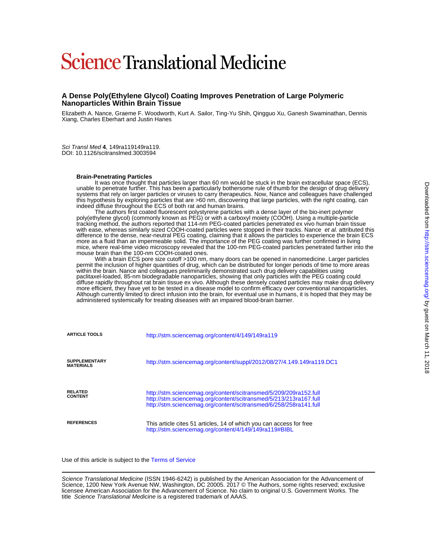# **Science Translational Medicine**

#### **Nanoparticles Within Brain Tissue A Dense Poly(Ethylene Glycol) Coating Improves Penetration of Large Polymeric**

Xiang, Charles Eberhart and Justin Hanes Elizabeth A. Nance, Graeme F. Woodworth, Kurt A. Sailor, Ting-Yu Shih, Qingguo Xu, Ganesh Swaminathan, Dennis

DOI: 10.1126/scitranslmed.3003594 Sci Transl Med **4**, 149ra119149ra119.

#### **Brain-Penetrating Particles**

indeed diffuse throughout the ECS of both rat and human brains. this hypothesis by exploring particles that are >60 nm, discovering that large particles, with the right coating, can systems that rely on larger particles or viruses to carry therapeutics. Now, Nance and colleagues have challenged unable to penetrate further. This has been a particularly bothersome rule of thumb for the design of drug delivery It was once thought that particles larger than 60 nm would be stuck in the brain extracellular space (ECS),

mouse brain than the 100-nm COOH-coated ones. mice, where real-time video microscopy revealed that the 100-nm PEG-coated particles penetrated farther into the more as a fluid than an impermeable solid. The importance of the PEG coating was further confirmed in living difference to the dense, near-neutral PEG coating, claiming that it allows the particles to experience the brain ECS with ease, whereas similarly sized COOH-coated particles were stopped in their tracks. Nance et al. attributed this tracking method, the authors reported that 114-nm PEG-coated particles penetrated ex vivo human brain tissue poly(ethylene glycol) (commonly known as PEG) or with a carboxyl moiety (COOH). Using a multiple-particle The authors first coated fluorescent polystyrene particles with a dense layer of the bio-inert polymer

administered systemically for treating diseases with an impaired blood-brain barrier. Although currently limited to direct infusion into the brain, for eventual use in humans, it is hoped that they may be more efficient, they have yet to be tested in a disease model to confirm efficacy over conventional nanoparticles. diffuse rapidly throughout rat brain tissue ex vivo. Although these densely coated particles may make drug delivery paclitaxel-loaded, 85-nm biodegradable nanoparticles, showing that only particles with the PEG coating could within the brain. Nance and colleagues preliminarily demonstrated such drug delivery capabilities using permit the inclusion of higher quantities of drug, which can be distributed for longer periods of time to more areas With a brain ECS pore size cutoff >100 nm, many doors can be opened in nanomedicine. Larger particles

| <b>ARTICLE TOOLS</b>                     | http://stm.sciencemag.org/content/4/149/149ra119                                                                                                                                                            |  |  |  |  |
|------------------------------------------|-------------------------------------------------------------------------------------------------------------------------------------------------------------------------------------------------------------|--|--|--|--|
| <b>SUPPLEMENTARY</b><br><b>MATERIALS</b> | http://stm.sciencemag.org/content/suppl/2012/08/27/4.149.149ra119.DC1                                                                                                                                       |  |  |  |  |
| <b>RELATED</b><br><b>CONTENT</b>         | http://stm.sciencemag.org/content/scitransmed/5/209/209ra152.full<br>http://stm.sciencemag.org/content/scitransmed/5/213/213ra167.full<br>http://stm.sciencemag.org/content/scitransmed/6/258/258ra141.full |  |  |  |  |
| <b>REFERENCES</b>                        | This article cites 51 articles, 14 of which you can access for free<br>http://stm.sciencemag.org/content/4/149/149ra119#BIBL                                                                                |  |  |  |  |

Use of this article is subject to the [Terms of Service](http://www.sciencemag.org/about/terms-service)

title Science Translational Medicine is a registered trademark of AAAS. licensee American Association for the Advancement of Science. No claim to original U.S. Government Works. The Science, 1200 New York Avenue NW, Washington, DC 20005. 2017 © The Authors, some rights reserved; exclusive Science Translational Medicine (ISSN 1946-6242) is published by the American Association for the Advancement of